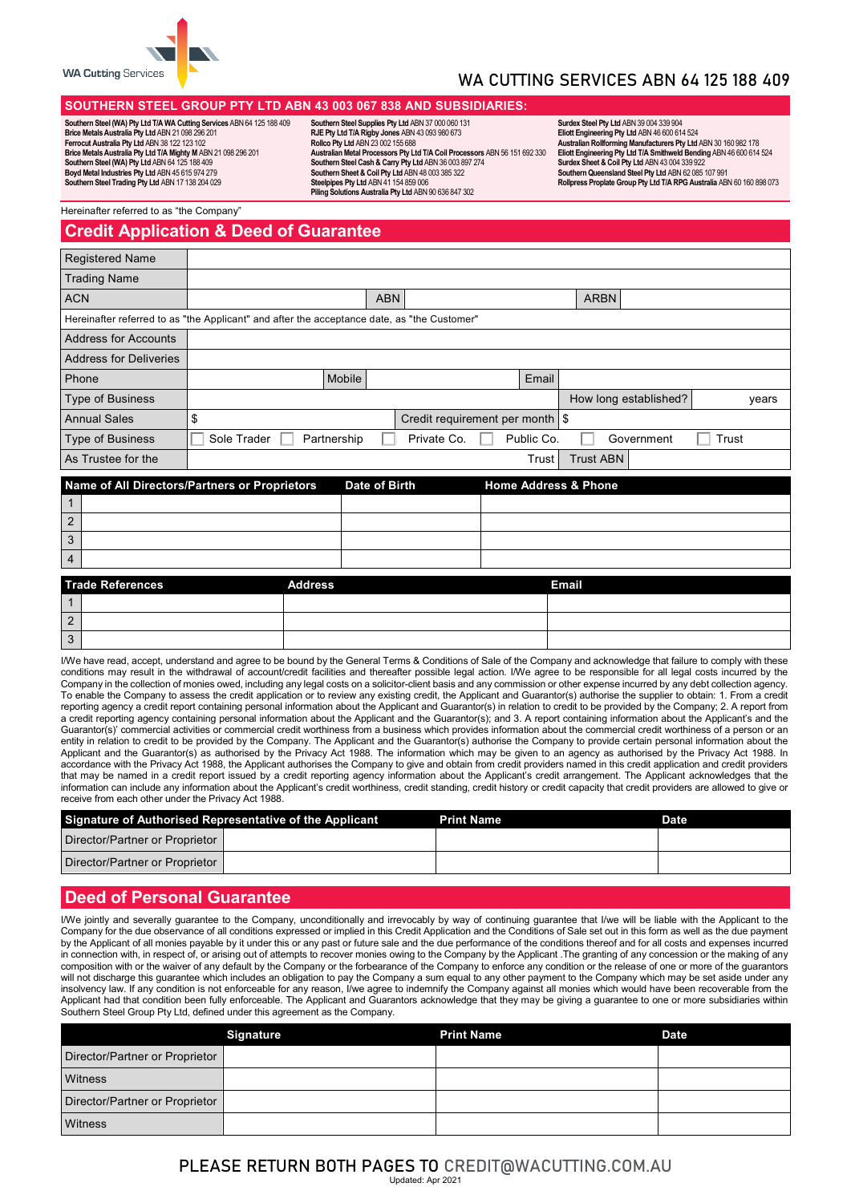

# WA CUTTING SERVICES ABN 64 125 188 409

### **SOUTHERN STEEL GROUP PTY LTD ABN 43 003 067 838 AND SUBSIDIARIES:**

**Southern Steel (WA) Pty Ltd T/A WA Cutting Services** ABN 64 125 188 409 **Brice Metals Australia Pty Ltd** ABN 21 098 296 201 **Ferrocut Australia Pty Ltd** ABN 38 122 123 102 **Brice Metals Australia Pty Ltd T/A Mighty M** ABN 21 098 296 201 **Southern Steel (WA) Pty Ltd** ABN 64 125 188 409 **Boyd Metal Industries Pty Ltd** ABN 45 615 974 279 **Southern Steel Trading Pty Ltd** ABN 17 138 204 029

**Southern Steel Supplies Pty Ltd** ABN 37 000 060 131 **RJE Pty Ltd T/A Rigby Jones** ABN 43 093 980 673 **Rollco Pty Ltd** ABN 23 002 155 688 **Australian Metal Processors Pty Ltd T/A Coil Processors** ABN 56 151 692 330 **Southern Steel Cash & Carry Pty Ltd** ABN 36 003 897 274 **Southern Sheet & Coil Pty Ltd** ABN 48 003 385 322 **Steelpipes Pty Ltd** ABN 41 154 859 006 **Piling Solutions Australia Pty Ltd** ABN 90 636 847 302

**Surdex Steel Pty Ltd** ABN 39 004 339 904 **Eliott Engineering Pty Ltd** ABN 46 600 614 524 Australian Rollforming Manufacturers Pty Ltd ABN 30 160 982 178<br>Eliott Engineering Pty Ltd TA Smithweld Bending ABN 46 600 614 524<br>Surdex Sheet & Coil Pty Ltd ABN 43 004 339 922<br>Southern Queensland Steel Pty Ltd ABN 62 085 **Rollpress Proplate Group Pty Ltd T/A RPG Australia** ABN 60 160 898 073

Hereinafter referred to as "the Company"

# **Credit Application & Deed of Guarantee**

| <b>Registered Name</b>        |                                                                                             |             |            |                                   |  |            |                  |                       |       |       |
|-------------------------------|---------------------------------------------------------------------------------------------|-------------|------------|-----------------------------------|--|------------|------------------|-----------------------|-------|-------|
| <b>Trading Name</b>           |                                                                                             |             |            |                                   |  |            |                  |                       |       |       |
| <b>ACN</b>                    |                                                                                             |             | <b>ABN</b> |                                   |  |            | <b>ARBN</b>      |                       |       |       |
|                               | Hereinafter referred to as "the Applicant" and after the acceptance date, as "the Customer" |             |            |                                   |  |            |                  |                       |       |       |
| <b>Address for Accounts</b>   |                                                                                             |             |            |                                   |  |            |                  |                       |       |       |
| <b>Address for Deliveries</b> |                                                                                             |             |            |                                   |  |            |                  |                       |       |       |
| Phone                         |                                                                                             | Mobile      |            |                                   |  | Email      |                  |                       |       |       |
| <b>Type of Business</b>       |                                                                                             |             |            |                                   |  |            |                  | How long established? |       | years |
| <b>Annual Sales</b>           | \$                                                                                          |             |            | Credit requirement per month   \$ |  |            |                  |                       |       |       |
| <b>Type of Business</b>       | Sole Trader                                                                                 | Partnership |            | Private Co.                       |  | Public Co. |                  | Government            | Trust |       |
| As Trustee for the            |                                                                                             |             |            |                                   |  | Trust      | <b>Trust ABN</b> |                       |       |       |
|                               | Name of All Directors (Dertners or Drepristors)<br>Hama Address & Dhana<br>Data of Dieth    |             |            |                                   |  |            |                  |                       |       |       |

|                | Name of All Directors/Partners or Proprietors | Date of Birth | <b>Home Address &amp; Phone</b> |  |
|----------------|-----------------------------------------------|---------------|---------------------------------|--|
|                |                                               |               |                                 |  |
| $\overline{2}$ |                                               |               |                                 |  |
| 3              |                                               |               |                                 |  |
| $\overline{4}$ |                                               |               |                                 |  |
|                | Trado Poforoncos<br><b>Addroce</b>            |               | Email                           |  |

|                | Trade References | <b>Address</b> | Email |
|----------------|------------------|----------------|-------|
|                |                  |                |       |
| $\overline{2}$ |                  |                |       |
| 3              |                  |                |       |

I/We have read, accept, understand and agree to be bound by the General Terms & Conditions of Sale of the Company and acknowledge that failure to comply with these conditions may result in the withdrawal of account/credit facilities and thereafter possible legal action. I/We agree to be responsible for all legal costs incurred by the Company in the collection of monies owed, including any legal costs on a solicitor-client basis and any commission or other expense incurred by any debt collection agency. To enable the Company to assess the credit application or to review any existing credit, the Applicant and Guarantor(s) authorise the supplier to obtain: 1. From a credit reporting agency a credit report containing personal information about the Applicant and Guarantor(s) in relation to credit to be provided by the Company; 2. A report from a credit reporting agency containing personal information about the Applicant and the Guarantor(s); and 3. A report containing information about the Applicant's and the Guarantor(s)' commercial activities or commercial credit worthiness from a business which provides information about the commercial credit worthiness of a person or an entity in relation to credit to be provided by the Company. The Applicant and the Guarantor(s) authorise the Company to provide certain personal information about the Applicant and the Guarantor(s) as authorised by the Privacy Act 1988. The information which may be given to an agency as authorised by the Privacy Act 1988. In accordance with the Privacy Act 1988, the Applicant authorises the Company to give and obtain from credit providers named in this credit application and credit providers that may be named in a credit report issued by a credit reporting agency information about the Applicant's credit arrangement. The Applicant acknowledges that the information can include any information about the Applicant's credit worthiness, credit standing, credit history or credit capacity that credit providers are allowed to give or receive from each other under the Privacy Act 1988.

| Signature of Authorised Representative of the Applicant |  | <b>Print Name</b> | <b>Date</b> |
|---------------------------------------------------------|--|-------------------|-------------|
| Director/Partner or Proprietor                          |  |                   |             |
| Director/Partner or Proprietor                          |  |                   |             |

## **Deed of Personal Guarantee**

I/We jointly and severally guarantee to the Company, unconditionally and irrevocably by way of continuing guarantee that I/we will be liable with the Applicant to the Company for the due observance of all conditions expressed or implied in this Credit Application and the Conditions of Sale set out in this form as well as the due payment by the Applicant of all monies payable by it under this or any past or future sale and the due performance of the conditions thereof and for all costs and expenses incurred in connection with, in respect of, or arising out of attempts to recover monies owing to the Company by the Applicant .The granting of any concession or the making of any composition with or the waiver of any default by the Company or the forbearance of the Company to enforce any condition or the release of one or more of the guarantors will not discharge this guarantee which includes an obligation to pay the Company a sum equal to any other payment to the Company which may be set aside under any insolvency law. If any condition is not enforceable for any reason, I/we agree to indemnify the Company against all monies which would have been recoverable from the Applicant had that condition been fully enforceable. The Applicant and Guarantors acknowledge that they may be giving a guarantee to one or more subsidiaries within Southern Steel Group Pty Ltd, defined under this agreement as the Company.

|                                | <b>Signature</b> | <b>Print Name</b> | <b>Date</b> |
|--------------------------------|------------------|-------------------|-------------|
| Director/Partner or Proprietor |                  |                   |             |
| Witness                        |                  |                   |             |
| Director/Partner or Proprietor |                  |                   |             |
| Witness                        |                  |                   |             |